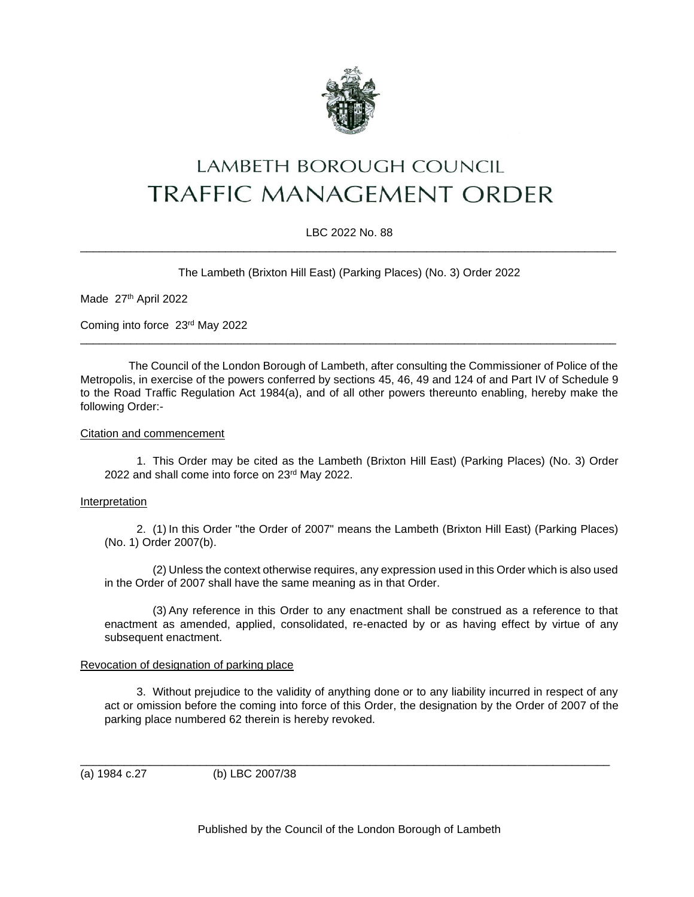

# LAMBETH BOROUGH COUNCIL **TRAFFIC MANAGEMENT ORDER**

## LBC 2022 No. 88 \_\_\_\_\_\_\_\_\_\_\_\_\_\_\_\_\_\_\_\_\_\_\_\_\_\_\_\_\_\_\_\_\_\_\_\_\_\_\_\_\_\_\_\_\_\_\_\_\_\_\_\_\_\_\_\_\_\_\_\_\_\_\_\_\_\_\_\_\_\_\_\_\_\_\_\_\_\_\_\_\_\_\_\_\_

The Lambeth (Brixton Hill East) (Parking Places) (No. 3) Order 2022

Made 27th April 2022

Coming into force 23rd May 2022

The Council of the London Borough of Lambeth, after consulting the Commissioner of Police of the Metropolis, in exercise of the powers conferred by sections 45, 46, 49 and 124 of and Part IV of Schedule 9 to the Road Traffic Regulation Act 1984(a), and of all other powers thereunto enabling, hereby make the following Order:-

\_\_\_\_\_\_\_\_\_\_\_\_\_\_\_\_\_\_\_\_\_\_\_\_\_\_\_\_\_\_\_\_\_\_\_\_\_\_\_\_\_\_\_\_\_\_\_\_\_\_\_\_\_\_\_\_\_\_\_\_\_\_\_\_\_\_\_\_\_\_\_\_\_\_\_\_\_\_\_\_\_\_\_\_\_

#### Citation and commencement

1. This Order may be cited as the Lambeth (Brixton Hill East) (Parking Places) (No. 3) Order 2022 and shall come into force on 23rd May 2022.

#### Interpretation

2. (1) In this Order "the Order of 2007" means the Lambeth (Brixton Hill East) (Parking Places) (No. 1) Order 2007(b).

(2) Unless the context otherwise requires, any expression used in this Order which is also used in the Order of 2007 shall have the same meaning as in that Order.

(3) Any reference in this Order to any enactment shall be construed as a reference to that enactment as amended, applied, consolidated, re-enacted by or as having effect by virtue of any subsequent enactment.

#### Revocation of designation of parking place

3. Without prejudice to the validity of anything done or to any liability incurred in respect of any act or omission before the coming into force of this Order, the designation by the Order of 2007 of the parking place numbered 62 therein is hereby revoked.

\_\_\_\_\_\_\_\_\_\_\_\_\_\_\_\_\_\_\_\_\_\_\_\_\_\_\_\_\_\_\_\_\_\_\_\_\_\_\_\_\_\_\_\_\_\_\_\_\_\_\_\_\_\_\_\_\_\_\_\_\_\_\_\_\_\_\_\_\_\_\_\_\_\_\_\_\_\_\_\_\_\_\_\_ (a) 1984 c.27 (b) LBC 2007/38

Published by the Council of the London Borough of Lambeth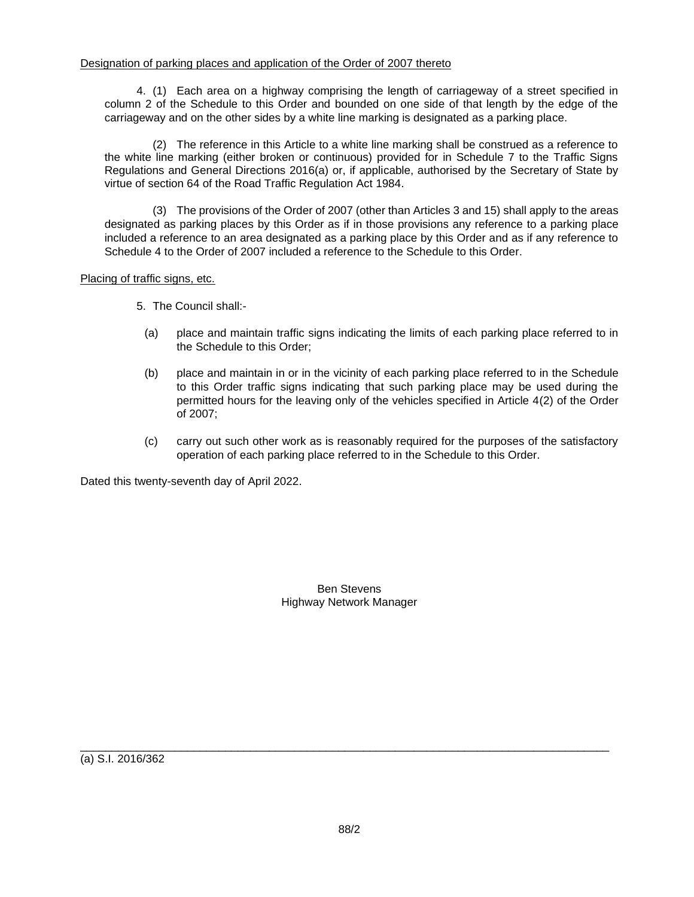4. (1) Each area on a highway comprising the length of carriageway of a street specified in column 2 of the Schedule to this Order and bounded on one side of that length by the edge of the carriageway and on the other sides by a white line marking is designated as a parking place.

(2) The reference in this Article to a white line marking shall be construed as a reference to the white line marking (either broken or continuous) provided for in Schedule 7 to the Traffic Signs Regulations and General Directions 2016(a) or, if applicable, authorised by the Secretary of State by virtue of section 64 of the Road Traffic Regulation Act 1984.

(3) The provisions of the Order of 2007 (other than Articles 3 and 15) shall apply to the areas designated as parking places by this Order as if in those provisions any reference to a parking place included a reference to an area designated as a parking place by this Order and as if any reference to Schedule 4 to the Order of 2007 included a reference to the Schedule to this Order.

## Placing of traffic signs, etc.

- 5. The Council shall:-
	- (a) place and maintain traffic signs indicating the limits of each parking place referred to in the Schedule to this Order;
	- (b) place and maintain in or in the vicinity of each parking place referred to in the Schedule to this Order traffic signs indicating that such parking place may be used during the permitted hours for the leaving only of the vehicles specified in Article 4(2) of the Order of 2007;
	- (c) carry out such other work as is reasonably required for the purposes of the satisfactory operation of each parking place referred to in the Schedule to this Order.

Dated this twenty-seventh day of April 2022.

Ben Stevens Highway Network Manager

(a) S.I. 2016/362

\_\_\_\_\_\_\_\_\_\_\_\_\_\_\_\_\_\_\_\_\_\_\_\_\_\_\_\_\_\_\_\_\_\_\_\_\_\_\_\_\_\_\_\_\_\_\_\_\_\_\_\_\_\_\_\_\_\_\_\_\_\_\_\_\_\_\_\_\_\_\_\_\_\_\_\_\_\_\_\_\_\_\_\_